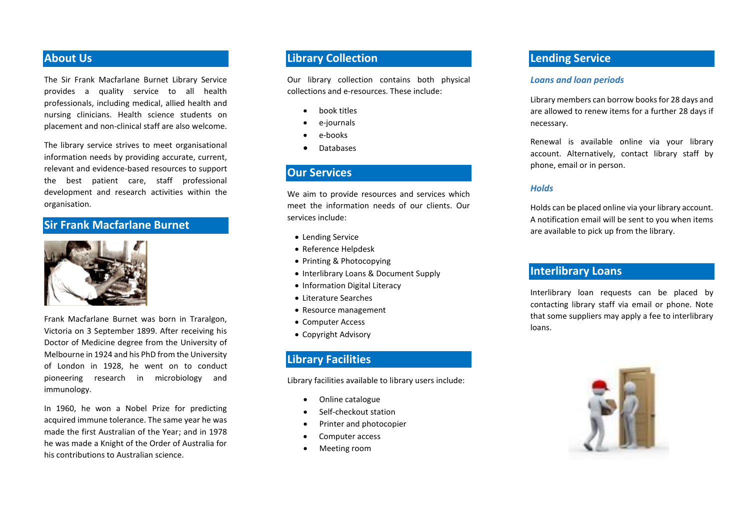### **About Us**

The Sir Frank Macfarlane Burnet Library Service provides a quality service to all health professionals, including medical, allied health and nursing clinicians. Health science students on placement and non-clinical staff are also welcome.

The library service strives to meet organisational information needs by providing accurate, current, relevant and evidence-based resources to support the best patient care, staff professional development and research activities within the organisation.

## **Sir Frank Macfarlane Burnet**



Frank Macfarlane Burnet was born in Traralgon, Victoria on 3 September 1899. After receiving his Doctor of Medicine degree from the University of Melbourne in 1924 and his PhD from the University of London in 1928, he went on to conduct pioneering research in microbiology and immunology.

In 1960, he won a Nobel Prize for predicting acquired immune tolerance. The same year he was made the first Australian of the Year; and in 1978 he was made a Knight of the Order of Australia for his contributions to Australian science.

## **Library Collection**

Our library collection contains both physical collections and e-resources. These include:

- book titles
- e-journals
- e-books
- **Databases**

#### **Our Services**

We aim to provide resources and services which meet the information needs of our clients. Our services include:

- Lending Service
- Reference Helpdesk
- Printing & Photocopying
- Interlibrary Loans & Document Supply
- Information Digital Literacy
- Literature Searches
- Resource management
- Computer Access
- Copyright Advisory

## **Library Facilities**

Library facilities available to library users include:

- Online catalogue
- Self-checkout station
- Printer and photocopier
- Computer access
- Meeting room

## **Lending Service**

#### *Loans and loan periods*

Library members can borrow booksfor 28 days and are allowed to renew items for a further 28 days if necessary.

Renewal is available online via your library account. Alternatively, contact library staff by phone, email or in person.

#### *Holds*

Holds can be placed online via your library account. A notification email will be sent to you when items are available to pick up from the library.

## **Interlibrary Loans**

Interlibrary loan requests can be placed by contacting library staff via email or phone. Note that some suppliers may apply a fee to interlibrary loans.